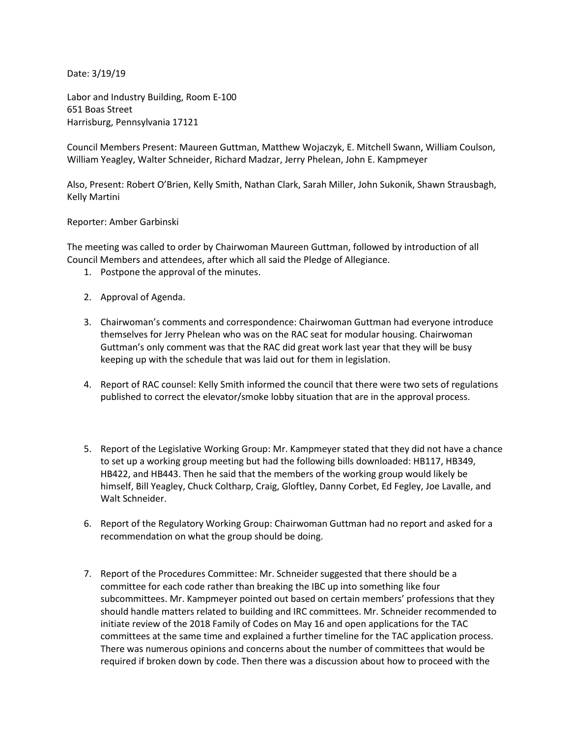Date: 3/19/19

Labor and Industry Building, Room E-100 651 Boas Street Harrisburg, Pennsylvania 17121

Council Members Present: Maureen Guttman, Matthew Wojaczyk, E. Mitchell Swann, William Coulson, William Yeagley, Walter Schneider, Richard Madzar, Jerry Phelean, John E. Kampmeyer

Also, Present: Robert O'Brien, Kelly Smith, Nathan Clark, Sarah Miller, John Sukonik, Shawn Strausbagh, Kelly Martini

## Reporter: Amber Garbinski

The meeting was called to order by Chairwoman Maureen Guttman, followed by introduction of all Council Members and attendees, after which all said the Pledge of Allegiance.

- 1. Postpone the approval of the minutes.
- 2. Approval of Agenda.
- 3. Chairwoman's comments and correspondence: Chairwoman Guttman had everyone introduce themselves for Jerry Phelean who was on the RAC seat for modular housing. Chairwoman Guttman's only comment was that the RAC did great work last year that they will be busy keeping up with the schedule that was laid out for them in legislation.
- 4. Report of RAC counsel: Kelly Smith informed the council that there were two sets of regulations published to correct the elevator/smoke lobby situation that are in the approval process.
- 5. Report of the Legislative Working Group: Mr. Kampmeyer stated that they did not have a chance to set up a working group meeting but had the following bills downloaded: HB117, HB349, HB422, and HB443. Then he said that the members of the working group would likely be himself, Bill Yeagley, Chuck Coltharp, Craig, Gloftley, Danny Corbet, Ed Fegley, Joe Lavalle, and Walt Schneider.
- 6. Report of the Regulatory Working Group: Chairwoman Guttman had no report and asked for a recommendation on what the group should be doing.
- 7. Report of the Procedures Committee: Mr. Schneider suggested that there should be a committee for each code rather than breaking the IBC up into something like four subcommittees. Mr. Kampmeyer pointed out based on certain members' professions that they should handle matters related to building and IRC committees. Mr. Schneider recommended to initiate review of the 2018 Family of Codes on May 16 and open applications for the TAC committees at the same time and explained a further timeline for the TAC application process. There was numerous opinions and concerns about the number of committees that would be required if broken down by code. Then there was a discussion about how to proceed with the